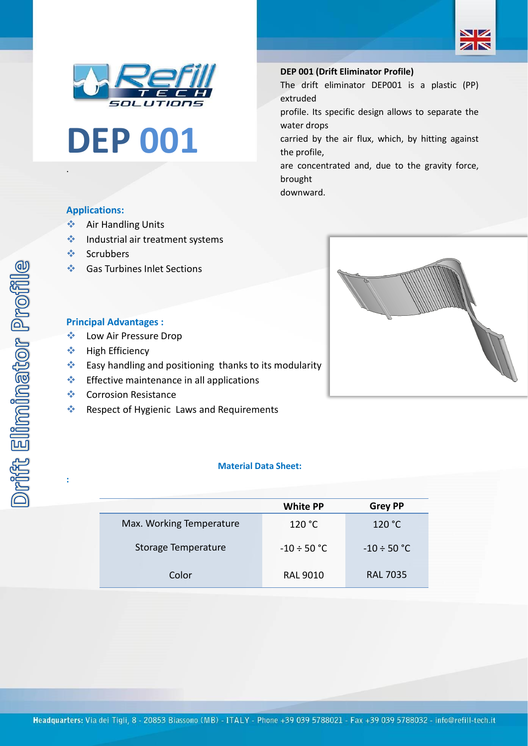





#### **DEP 001 (Drift Eliminator Profile)**

The drift eliminator DEP001 is a plastic (PP) extruded

profile. Its specific design allows to separate the water drops

carried by the air flux, which, by hitting against the profile,

are concentrated and, due to the gravity force, brought

downward.



.

**:**

- ❖ Air Handling Units
- ❖ Industrial air treatment systems
- ❖ Scrubbers
- ❖ Gas Turbines Inlet Sections

### **Principal Advantages :**

- ❖ Low Air Pressure Drop
- ❖ High Efficiency
- ❖ Easy handling and positioning thanks to its modularity
- ❖ Effective maintenance in all applications
- ❖ Corrosion Resistance
- ❖ Respect of Hygienic Laws and Requirements

## **Material Data Sheet:**

|                          | <b>White PP</b>  | <b>Grey PP</b>   |
|--------------------------|------------------|------------------|
| Max. Working Temperature | 120 °C           | 120 °C           |
| Storage Temperature      | $-10 \div 50$ °C | $-10 \div 50$ °C |
| Color                    | <b>RAL 9010</b>  | <b>RAL 7035</b>  |